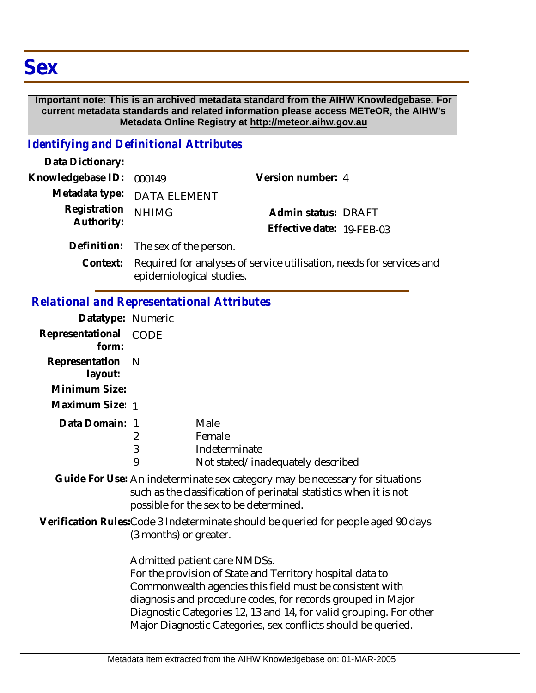# **Sex**

#### **Important note: This is an archived metadata standard from the AIHW Knowledgebase. For current metadata standards and related information please access METeOR, the AIHW's Metadata Online Registry at http://meteor.aihw.gov.au**

## *Identifying and Definitional Attributes*

| Data Dictionary:                 |                                                            |                                                  |  |
|----------------------------------|------------------------------------------------------------|--------------------------------------------------|--|
| Knowledgebase ID: 000149         |                                                            | Version number: 4                                |  |
|                                  | Metadata type: DATA ELEMENT                                |                                                  |  |
| Registration NHIMG<br>Authority: |                                                            | Admin status: DRAFT<br>Effective date: 19-FEB-03 |  |
|                                  | Definition: The sex of the person.                         |                                                  |  |
| Context:                         | Required for analyses of service utilisation needs for seq |                                                  |  |

Context: Required for analyses of service utilisation, needs for services and epidemiological studies.

## *Relational and Representational Attributes*

| Datatype: Numeric         |                          |                                                                                                                                                                                                                                                                                                                                                             |
|---------------------------|--------------------------|-------------------------------------------------------------------------------------------------------------------------------------------------------------------------------------------------------------------------------------------------------------------------------------------------------------------------------------------------------------|
| Representational<br>form: | CODE                     |                                                                                                                                                                                                                                                                                                                                                             |
| Representation<br>layout: | - N                      |                                                                                                                                                                                                                                                                                                                                                             |
| Minimum Size:             |                          |                                                                                                                                                                                                                                                                                                                                                             |
| Maximum Size: 1           |                          |                                                                                                                                                                                                                                                                                                                                                             |
| Data Domain: 1            | 2<br>$\mathfrak{Z}$<br>9 | Male<br>Female<br>Indeterminate<br>Not stated/inadequately described                                                                                                                                                                                                                                                                                        |
|                           |                          | Guide For Use: An indeterminate sex category may be necessary for situations<br>such as the classification of perinatal statistics when it is not<br>possible for the sex to be determined.                                                                                                                                                                 |
|                           | (3 months) or greater.   | Verification Rules: Code 3 Indeterminate should be queried for people aged 90 days                                                                                                                                                                                                                                                                          |
|                           |                          | Admitted patient care NMDSs.<br>For the provision of State and Territory hospital data to<br>Commonwealth agencies this field must be consistent with<br>diagnosis and procedure codes, for records grouped in Major<br>Diagnostic Categories 12, 13 and 14, for valid grouping. For other<br>Major Diagnostic Categories, sex conflicts should be queried. |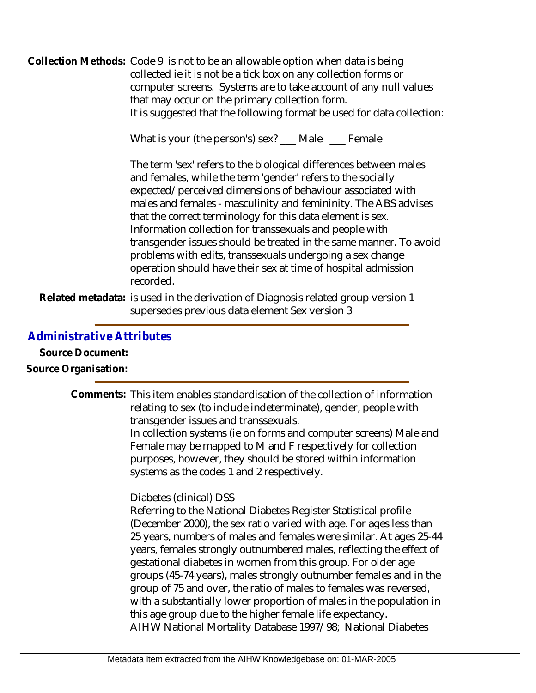Collection Methods: Code 9 is not to be an allowable option when data is being collected ie it is not be a tick box on any collection forms or computer screens. Systems are to take account of any null values that may occur on the primary collection form. It is suggested that the following format be used for data collection:

What is your (the person's) sex? \_\_\_ Male \_\_\_ Female

The term 'sex' refers to the biological differences between males and females, while the term 'gender' refers to the socially expected/perceived dimensions of behaviour associated with males and females - masculinity and femininity. The ABS advises that the correct terminology for this data element is sex. Information collection for transsexuals and people with transgender issues should be treated in the same manner. To avoid problems with edits, transsexuals undergoing a sex change operation should have their sex at time of hospital admission recorded.

Related metadata: is used in the derivation of Diagnosis related group version 1 supersedes previous data element Sex version 3

#### *Administrative Attributes*

**Source Document:**

**Source Organisation:**

| Comments: This item enables standardisation of the collection of information<br>relating to sex (to include indeterminate), gender, people with<br>transgender issues and transsexuals.<br>In collection systems (ie on forms and computer screens) Male and<br>Female may be mapped to M and F respectively for collection<br>purposes, however, they should be stored within information<br>systems as the codes 1 and 2 respectively.                                                                                                                                                                                                                                                                                  |
|---------------------------------------------------------------------------------------------------------------------------------------------------------------------------------------------------------------------------------------------------------------------------------------------------------------------------------------------------------------------------------------------------------------------------------------------------------------------------------------------------------------------------------------------------------------------------------------------------------------------------------------------------------------------------------------------------------------------------|
| Diabetes (clinical) DSS<br>Referring to the National Diabetes Register Statistical profile<br>(December 2000), the sex ratio varied with age. For ages less than<br>25 years, numbers of males and females were similar. At ages 25-44<br>years, females strongly outnumbered males, reflecting the effect of<br>gestational diabetes in women from this group. For older age<br>groups (45-74 years), males strongly outnumber females and in the<br>group of 75 and over, the ratio of males to females was reversed,<br>with a substantially lower proportion of males in the population in<br>this age group due to the higher female life expectancy.<br>AIHW National Mortality Database 1997/98; National Diabetes |